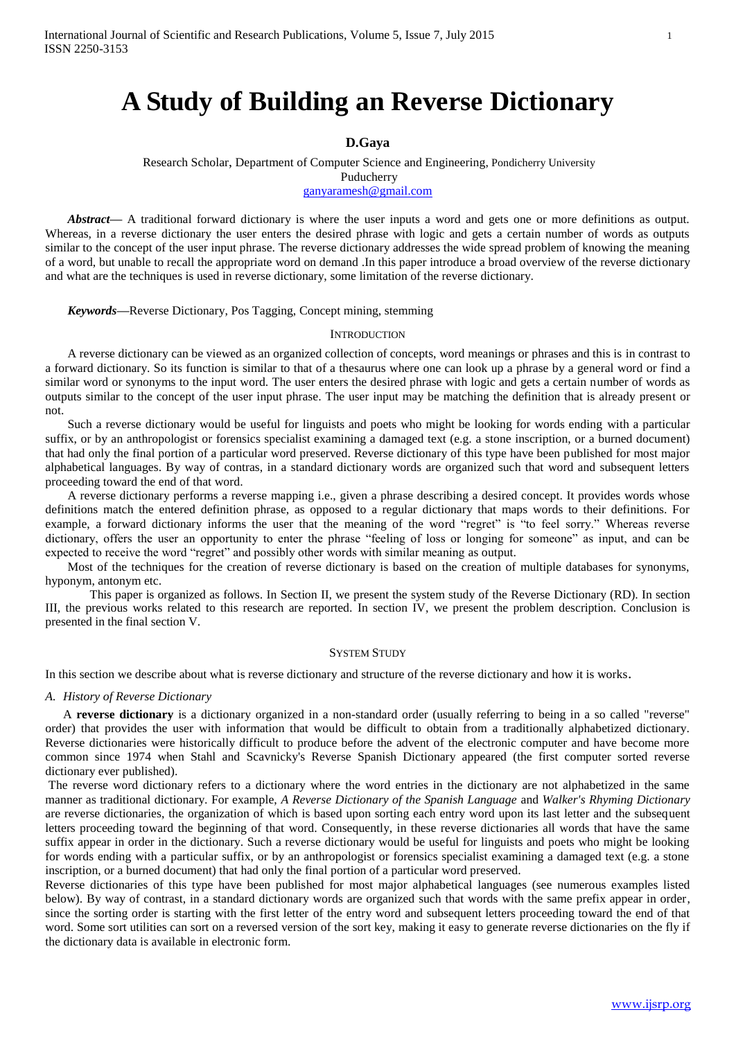# **D.Gaya**

Research Scholar, Department of Computer Science and Engineering, Pondicherry University Puducherry

[ganyaramesh@gmail.com](mailto:ganyaramesh@gmail.com)

*Abstract—* A traditional forward dictionary is where the user inputs a word and gets one or more definitions as output. Whereas, in a reverse dictionary the user enters the desired phrase with logic and gets a certain number of words as outputs similar to the concept of the user input phrase. The reverse dictionary addresses the wide spread problem of knowing the meaning of a word, but unable to recall the appropriate word on demand .In this paper introduce a broad overview of the reverse dictionary and what are the techniques is used in reverse dictionary, some limitation of the reverse dictionary.

*Keywords—*Reverse Dictionary, Pos Tagging, Concept mining, stemming

#### **INTRODUCTION**

A reverse dictionary can be viewed as an organized collection of concepts, word meanings or phrases and this is in contrast to a forward dictionary. So its function is similar to that of a thesaurus where one can look up a phrase by a general word or find a similar word or synonyms to the input word. The user enters the desired phrase with logic and gets a certain number of words as outputs similar to the concept of the user input phrase. The user input may be matching the definition that is already present or not.

Such a reverse dictionary would be useful for linguists and poets who might be looking for words ending with a particular suffix, or by an anthropologist or forensics specialist examining a damaged text (e.g. a stone inscription, or a burned document) that had only the final portion of a particular word preserved. Reverse dictionary of this type have been published for most major alphabetical languages. By way of contras, in a standard dictionary words are organized such that word and subsequent letters proceeding toward the end of that word.

A reverse dictionary performs a reverse mapping i.e., given a phrase describing a desired concept. It provides words whose definitions match the entered definition phrase, as opposed to a regular dictionary that maps words to their definitions. For example, a forward dictionary informs the user that the meaning of the word "regret" is "to feel sorry." Whereas reverse dictionary, offers the user an opportunity to enter the phrase "feeling of loss or longing for someone" as input, and can be expected to receive the word "regret" and possibly other words with similar meaning as output.

Most of the techniques for the creation of reverse dictionary is based on the creation of multiple databases for synonyms, hyponym, antonym etc.

This paper is organized as follows. In Section II, we present the system study of the Reverse Dictionary (RD). In section III, the previous works related to this research are reported. In section IV, we present the problem description. Conclusion is presented in the final section V.

### SYSTEM STUDY

In this section we describe about what is reverse dictionary and structure of the reverse dictionary and how it is works.

# *A. History of Reverse Dictionary*

A **reverse dictionary** is a dictionary organized in a non-standard order (usually referring to being in a so called "reverse" order) that provides the user with information that would be difficult to obtain from a traditionally alphabetized dictionary. Reverse dictionaries were historically difficult to produce before the advent of the electronic computer and have become more common since 1974 when Stahl and Scavnicky's Reverse Spanish Dictionary appeared (the first computer sorted reverse dictionary ever published).

The reverse word dictionary refers to a dictionary where the word entries in the dictionary are not alphabetized in the same manner as traditional dictionary. For example, *A Reverse Dictionary of the Spanish Language* and *Walker's Rhyming Dictionary* are reverse dictionaries, the organization of which is based upon sorting each entry word upon its last letter and the subsequent letters proceeding toward the beginning of that word. Consequently, in these reverse dictionaries all words that have the same suffix appear in order in the dictionary. Such a reverse dictionary would be useful for linguists and poets who might be looking for words ending with a particular suffix, or by an anthropologist or forensics specialist examining a damaged text (e.g. a stone inscription, or a burned document) that had only the final portion of a particular word preserved.

Reverse dictionaries of this type have been published for most major alphabetical languages (see numerous examples listed below). By way of contrast, in a standard dictionary words are organized such that words with the same prefix appear in order, since the sorting order is starting with the first letter of the entry word and subsequent letters proceeding toward the end of that word. Some sort utilities can sort on a reversed version of the sort key, making it easy to generate reverse dictionaries on the fly if the dictionary data is available in electronic form.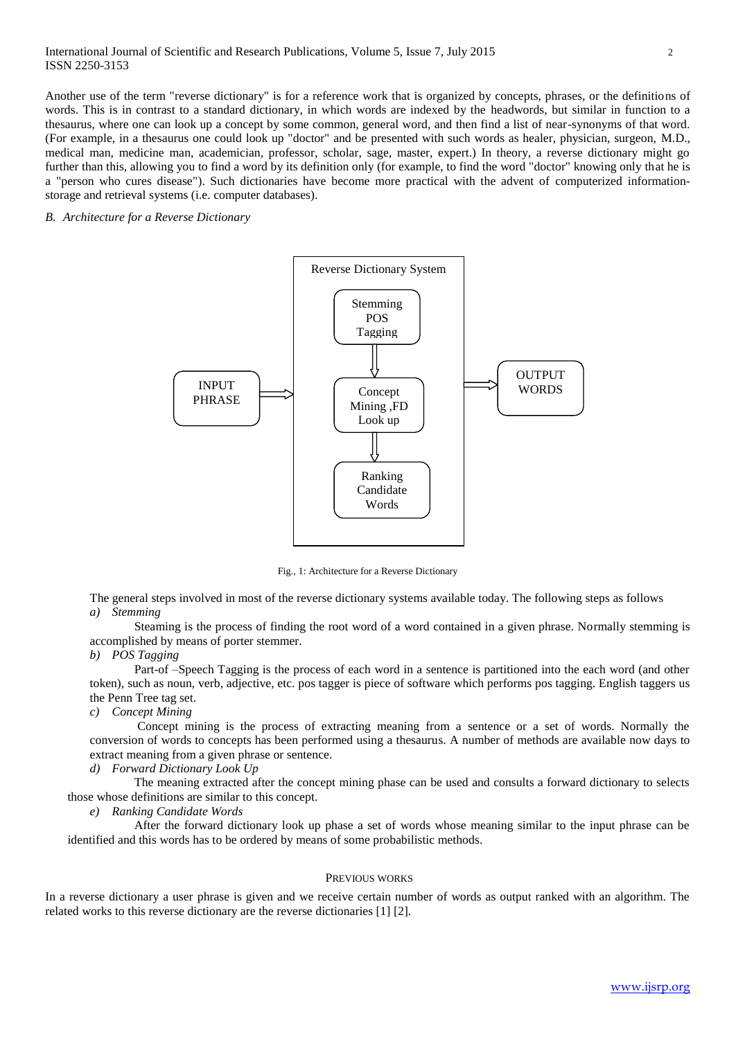### International Journal of Scientific and Research Publications, Volume 5, Issue 7, July 2015 2 ISSN 2250-3153

Another use of the term "reverse dictionary" is for a reference work that is organized by concepts, phrases, or the definitions of words. This is in contrast to a standard dictionary, in which words are indexed by the headwords, but similar in function to a thesaurus, where one can look up a concept by some common, general word, and then find a list of near-synonyms of that word. (For example, in a thesaurus one could look up "doctor" and be presented with such words as healer, physician, surgeon, M.D., medical man, medicine man, academician, professor, scholar, sage, master, expert.) In theory, a reverse dictionary might go further than this, allowing you to find a word by its definition only (for example, to find the word "doctor" knowing only that he is a "person who cures disease"). Such dictionaries have become more practical with the advent of computerized informationstorage and retrieval systems (i.e. computer databases).

*B. Architecture for a Reverse Dictionary*



Fig., 1: Architecture for a Reverse Dictionary

The general steps involved in most of the reverse dictionary systems available today. The following steps as follows *a) Stemming*

Steaming is the process of finding the root word of a word contained in a given phrase. Normally stemming is accomplished by means of porter stemmer.

# *b) POS Tagging*

Part-of –Speech Tagging is the process of each word in a sentence is partitioned into the each word (and other token), such as noun, verb, adjective, etc. pos tagger is piece of software which performs pos tagging. English taggers us the Penn Tree tag set.

*c) Concept Mining*

Concept mining is the process of extracting meaning from a sentence or a set of words. Normally the conversion of words to concepts has been performed using a thesaurus. A number of methods are available now days to extract meaning from a given phrase or sentence.

### *d) Forward Dictionary Look Up*

The meaning extracted after the concept mining phase can be used and consults a forward dictionary to selects those whose definitions are similar to this concept.

*e) Ranking Candidate Words*

After the forward dictionary look up phase a set of words whose meaning similar to the input phrase can be identified and this words has to be ordered by means of some probabilistic methods.

#### PREVIOUS WORKS

In a reverse dictionary a user phrase is given and we receive certain number of words as output ranked with an algorithm. The related works to this reverse dictionary are the reverse dictionaries [1] [2].